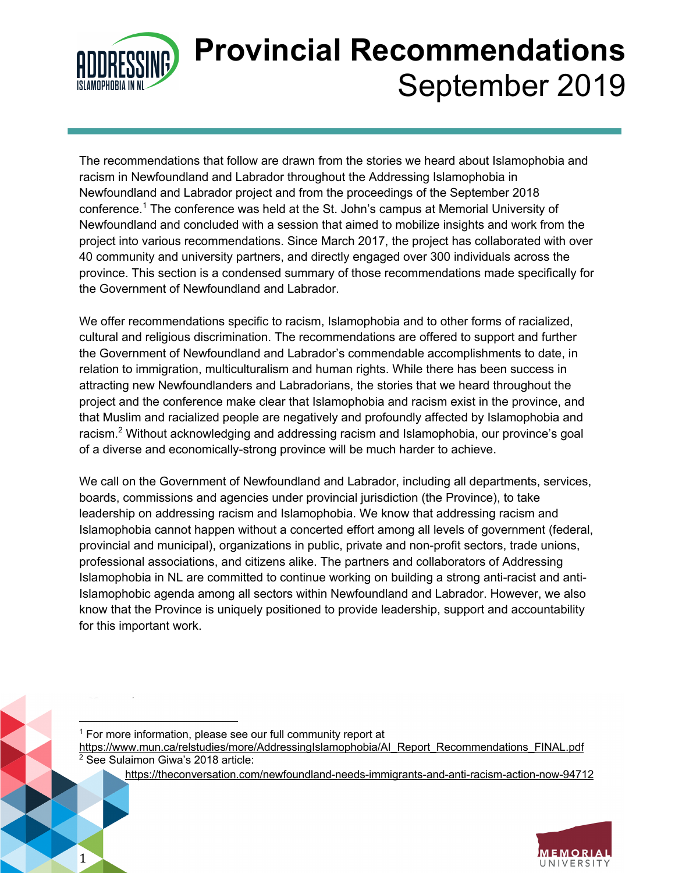

1

# **Provincial Recommendations** September 2019

The recommendations that follow are drawn from the stories we heard about Islamophobia and racism in Newfoundland and Labrador throughout the Addressing Islamophobia in Newfoundland and Labrador project and from the proceedings of the September 2018 conference. <sup>1</sup> The conference was held at the St. John's campus at Memorial University of Newfoundland and concluded with a session that aimed to mobilize insights and work from the project into various recommendations. Since March 2017, the project has collaborated with over 40 community and university partners, and directly engaged over 300 individuals across the province. This section is a condensed summary of those recommendations made specifically for the Government of Newfoundland and Labrador.

We offer recommendations specific to racism, Islamophobia and to other forms of racialized, cultural and religious discrimination. The recommendations are offered to support and further the Government of Newfoundland and Labrador's commendable accomplishments to date, in relation to immigration, multiculturalism and human rights. While there has been success in attracting new Newfoundlanders and Labradorians, the stories that we heard throughout the project and the conference make clear that Islamophobia and racism exist in the province, and that Muslim and racialized people are negatively and profoundly affected by Islamophobia and racism.<sup>2</sup> Without acknowledging and addressing racism and Islamophobia, our province's goal of a diverse and economically-strong province will be much harder to achieve.

We call on the Government of Newfoundland and Labrador, including all departments, services, boards, commissions and agencies under provincial jurisdiction (the Province), to take leadership on addressing racism and Islamophobia. We know that addressing racism and Islamophobia cannot happen without a concerted effort among all levels of government (federal, provincial and municipal), organizations in public, private and non-profit sectors, trade unions, professional associations, and citizens alike. The partners and collaborators of Addressing Islamophobia in NL are committed to continue working on building a strong anti-racist and anti-Islamophobic agenda among all sectors within Newfoundland and Labrador. However, we also know that the Province is uniquely positioned to provide leadership, support and accountability for this important work.

 $1$  For more information, please see our full community report at https://www.mun.ca/relstudies/more/AddressingIslamophobia/AI\_Report\_Recommendations\_FINAL.pdf <sup>2</sup> See Sulaimon Giwa's 2018 article:

https://theconversation.com/newfoundland-needs-immigrants-and-anti-racism-action-now-94712

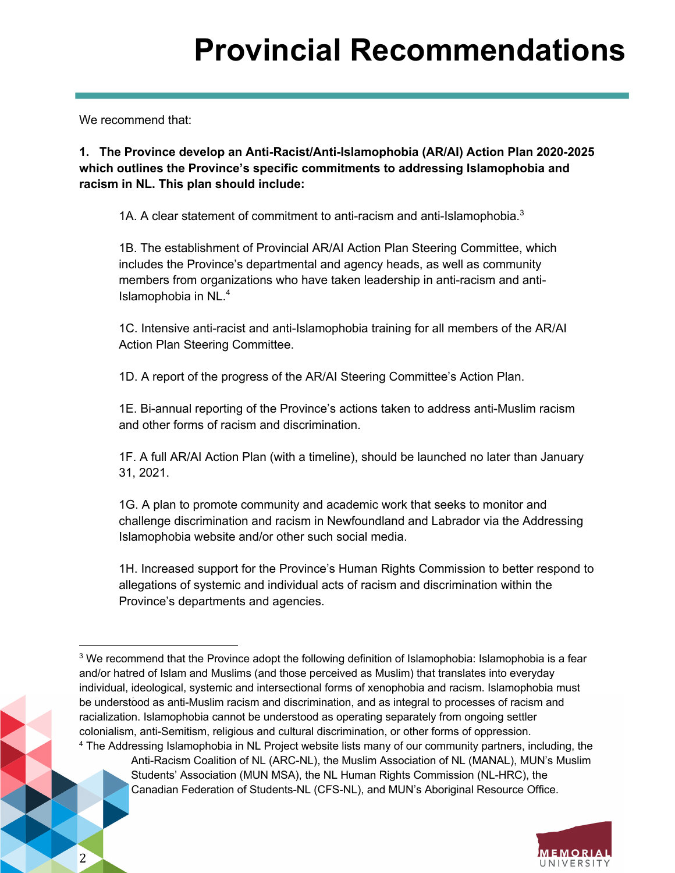We recommend that:

2

**1. The Province develop an Anti-Racist/Anti-Islamophobia (AR/AI) Action Plan 2020-2025 which outlines the Province's specific commitments to addressing Islamophobia and racism in NL. This plan should include:** 

1A. A clear statement of commitment to anti-racism and anti-Islamophobia. $3$ 

1B. The establishment of Provincial AR/AI Action Plan Steering Committee, which includes the Province's departmental and agency heads, as well as community members from organizations who have taken leadership in anti-racism and anti-Islamophobia in NL. $<sup>4</sup>$ </sup>

1C. Intensive anti-racist and anti-Islamophobia training for all members of the AR/AI Action Plan Steering Committee.

1D. A report of the progress of the AR/AI Steering Committee's Action Plan.

1E. Bi-annual reporting of the Province's actions taken to address anti-Muslim racism and other forms of racism and discrimination.

1F. A full AR/AI Action Plan (with a timeline), should be launched no later than January 31, 2021.

1G. A plan to promote community and academic work that seeks to monitor and challenge discrimination and racism in Newfoundland and Labrador via the Addressing Islamophobia website and/or other such social media.

1H. Increased support for the Province's Human Rights Commission to better respond to allegations of systemic and individual acts of racism and discrimination within the Province's departments and agencies.

<sup>&</sup>lt;sup>4</sup> The Addressing Islamophobia in NL Project website lists many of our community partners, including, the Anti-Racism Coalition of NL (ARC-NL), the Muslim Association of NL (MANAL), MUN's Muslim Students' Association (MUN MSA), the NL Human Rights Commission (NL-HRC), the Canadian Federation of Students-NL (CFS-NL), and MUN's Aboriginal Resource Office.



<sup>&</sup>lt;sup>3</sup> We recommend that the Province adopt the following definition of Islamophobia: Islamophobia is a fear and/or hatred of Islam and Muslims (and those perceived as Muslim) that translates into everyday individual, ideological, systemic and intersectional forms of xenophobia and racism. Islamophobia must be understood as anti-Muslim racism and discrimination, and as integral to processes of racism and racialization. Islamophobia cannot be understood as operating separately from ongoing settler colonialism, anti-Semitism, religious and cultural discrimination, or other forms of oppression.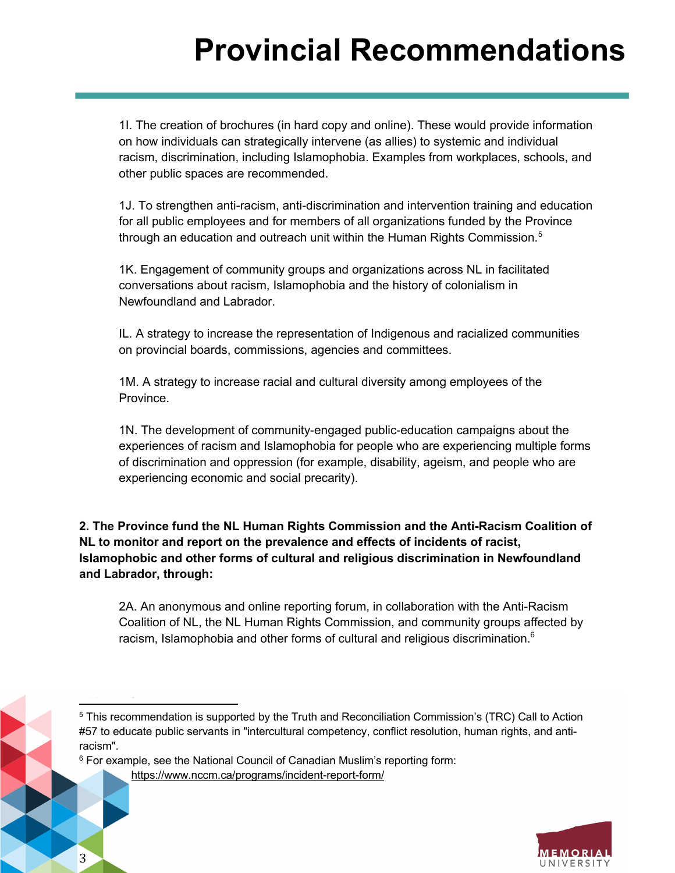1I. The creation of brochures (in hard copy and online). These would provide information on how individuals can strategically intervene (as allies) to systemic and individual racism, discrimination, including Islamophobia. Examples from workplaces, schools, and other public spaces are recommended.

1J. To strengthen anti-racism, anti-discrimination and intervention training and education for all public employees and for members of all organizations funded by the Province through an education and outreach unit within the Human Rights Commission.<sup>5</sup>

1K. Engagement of community groups and organizations across NL in facilitated conversations about racism, Islamophobia and the history of colonialism in Newfoundland and Labrador.

IL. A strategy to increase the representation of Indigenous and racialized communities on provincial boards, commissions, agencies and committees.

1M. A strategy to increase racial and cultural diversity among employees of the Province.

1N. The development of community-engaged public-education campaigns about the experiences of racism and Islamophobia for people who are experiencing multiple forms of discrimination and oppression (for example, disability, ageism, and people who are experiencing economic and social precarity).

**2. The Province fund the NL Human Rights Commission and the Anti-Racism Coalition of NL to monitor and report on the prevalence and effects of incidents of racist, Islamophobic and other forms of cultural and religious discrimination in Newfoundland and Labrador, through:**

2A. An anonymous and online reporting forum, in collaboration with the Anti-Racism Coalition of NL, the NL Human Rights Commission, and community groups affected by racism, Islamophobia and other forms of cultural and religious discrimination.<sup>6</sup>

 $6$  For example, see the National Council of Canadian Muslim's reporting form:

https://www.nccm.ca/programs/incident-report-form/



<sup>&</sup>lt;sup>5</sup> This recommendation is supported by the Truth and Reconciliation Commission's (TRC) Call to Action #57 to educate public servants in "intercultural competency, conflict resolution, human rights, and antiracism".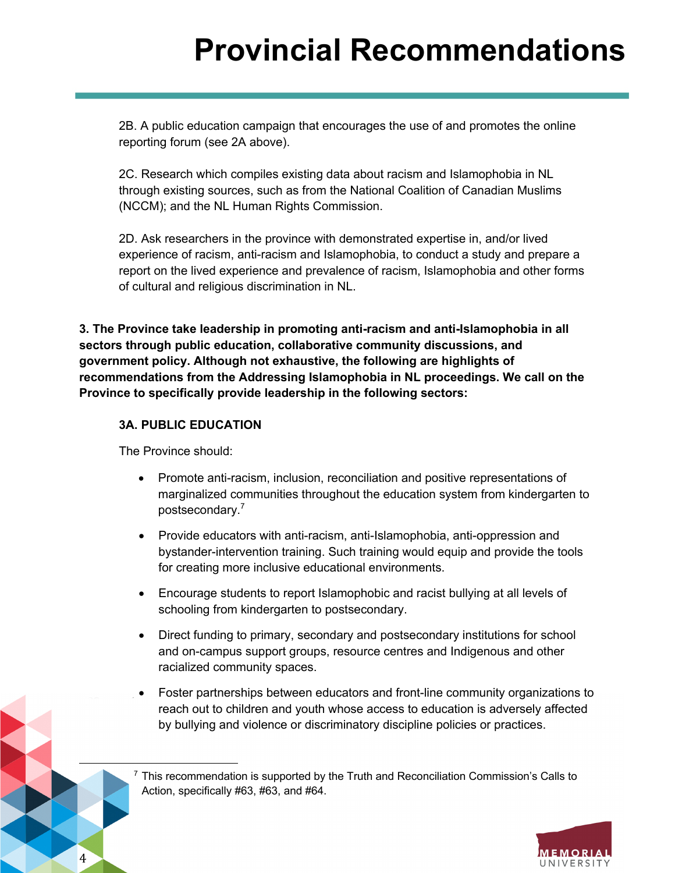2B. A public education campaign that encourages the use of and promotes the online reporting forum (see 2A above).

2C. Research which compiles existing data about racism and Islamophobia in NL through existing sources, such as from the National Coalition of Canadian Muslims (NCCM); and the NL Human Rights Commission.

2D. Ask researchers in the province with demonstrated expertise in, and/or lived experience of racism, anti-racism and Islamophobia, to conduct a study and prepare a report on the lived experience and prevalence of racism, Islamophobia and other forms of cultural and religious discrimination in NL.

**3. The Province take leadership in promoting anti-racism and anti-Islamophobia in all sectors through public education, collaborative community discussions, and government policy. Although not exhaustive, the following are highlights of recommendations from the Addressing Islamophobia in NL proceedings. We call on the Province to specifically provide leadership in the following sectors:**

### **3A. PUBLIC EDUCATION**

The Province should:

4

- Promote anti-racism, inclusion, reconciliation and positive representations of marginalized communities throughout the education system from kindergarten to postsecondary.<sup>7</sup>
- Provide educators with anti-racism, anti-Islamophobia, anti-oppression and bystander-intervention training. Such training would equip and provide the tools for creating more inclusive educational environments.
- Encourage students to report Islamophobic and racist bullying at all levels of schooling from kindergarten to postsecondary.
- Direct funding to primary, secondary and postsecondary institutions for school and on-campus support groups, resource centres and Indigenous and other racialized community spaces.
- Foster partnerships between educators and front-line community organizations to reach out to children and youth whose access to education is adversely affected by bullying and violence or discriminatory discipline policies or practices.

 $7$  This recommendation is supported by the Truth and Reconciliation Commission's Calls to Action, specifically #63, #63, and #64.

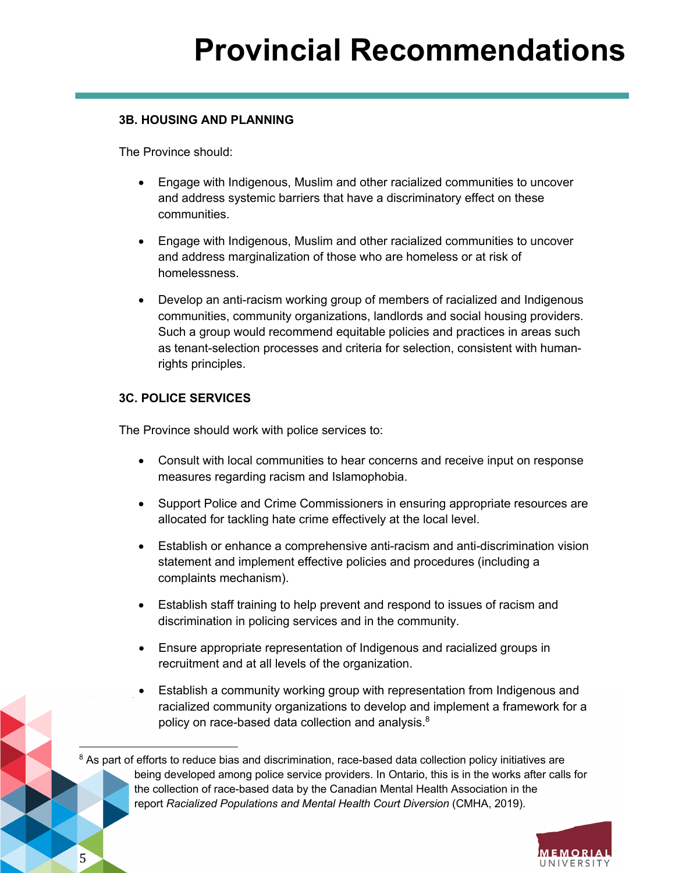#### **3B. HOUSING AND PLANNING**

The Province should:

- Engage with Indigenous, Muslim and other racialized communities to uncover and address systemic barriers that have a discriminatory effect on these communities.
- Engage with Indigenous, Muslim and other racialized communities to uncover and address marginalization of those who are homeless or at risk of homelessness.
- Develop an anti-racism working group of members of racialized and Indigenous communities, community organizations, landlords and social housing providers. Such a group would recommend equitable policies and practices in areas such as tenant-selection processes and criteria for selection, consistent with humanrights principles.

### **3C. POLICE SERVICES**

The Province should work with police services to:

- Consult with local communities to hear concerns and receive input on response measures regarding racism and Islamophobia.
- Support Police and Crime Commissioners in ensuring appropriate resources are allocated for tackling hate crime effectively at the local level.
- Establish or enhance a comprehensive anti-racism and anti-discrimination vision statement and implement effective policies and procedures (including a complaints mechanism).
- Establish staff training to help prevent and respond to issues of racism and discrimination in policing services and in the community.
- Ensure appropriate representation of Indigenous and racialized groups in recruitment and at all levels of the organization.
- Establish a community working group with representation from Indigenous and racialized community organizations to develop and implement a framework for a policy on race-based data collection and analysis.<sup>8</sup>

<sup>&</sup>lt;sup>8</sup> As part of efforts to reduce bias and discrimination, race-based data collection policy initiatives are being developed among police service providers. In Ontario, this is in the works after calls for the collection of race-based data by the Canadian Mental Health Association in the report *Racialized Populations and Mental Health Court Diversion* (CMHA, 2019).



5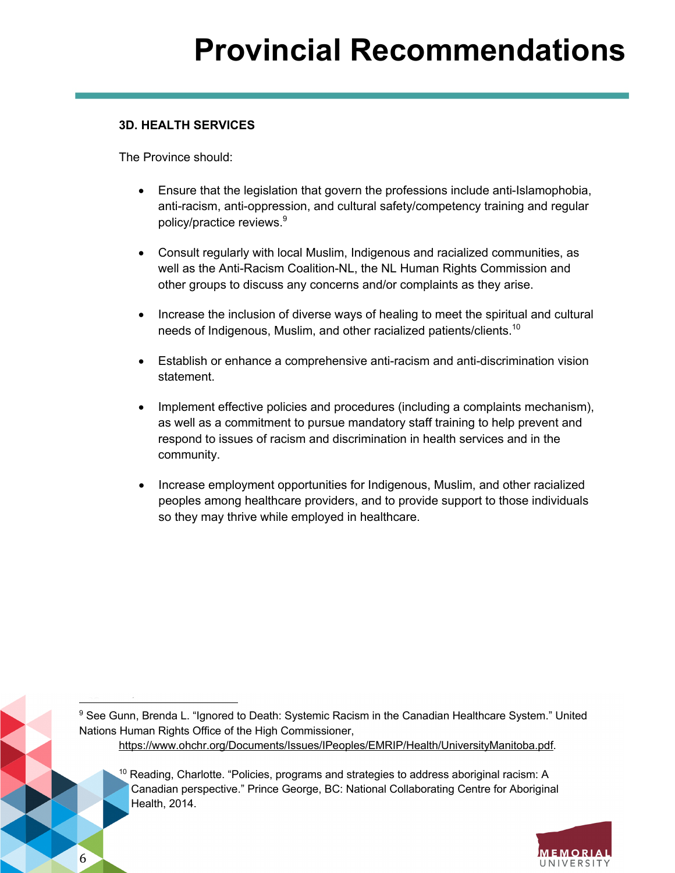### **3D. HEALTH SERVICES**

The Province should:

- Ensure that the legislation that govern the professions include anti-Islamophobia, anti-racism, anti-oppression, and cultural safety/competency training and regular policy/practice reviews.<sup>9</sup>
- Consult regularly with local Muslim, Indigenous and racialized communities, as well as the Anti-Racism Coalition-NL, the NL Human Rights Commission and other groups to discuss any concerns and/or complaints as they arise.
- Increase the inclusion of diverse ways of healing to meet the spiritual and cultural needs of Indigenous, Muslim, and other racialized patients/clients.<sup>10</sup>
- Establish or enhance a comprehensive anti-racism and anti-discrimination vision statement.
- Implement effective policies and procedures (including a complaints mechanism), as well as a commitment to pursue mandatory staff training to help prevent and respond to issues of racism and discrimination in health services and in the community.
- Increase employment opportunities for Indigenous, Muslim, and other racialized peoples among healthcare providers, and to provide support to those individuals so they may thrive while employed in healthcare.

9 See Gunn, Brenda L. "Ignored to Death: Systemic Racism in the Canadian Healthcare System." United Nations Human Rights Office of the High Commissioner, https://www.ohchr.org/Documents/Issues/IPeoples/EMRIP/Health/UniversityManitoba.pdf.

 $10$  Reading, Charlotte. "Policies, programs and strategies to address aboriginal racism: A Canadian perspective." Prince George, BC: National Collaborating Centre for Aboriginal Health, 2014.

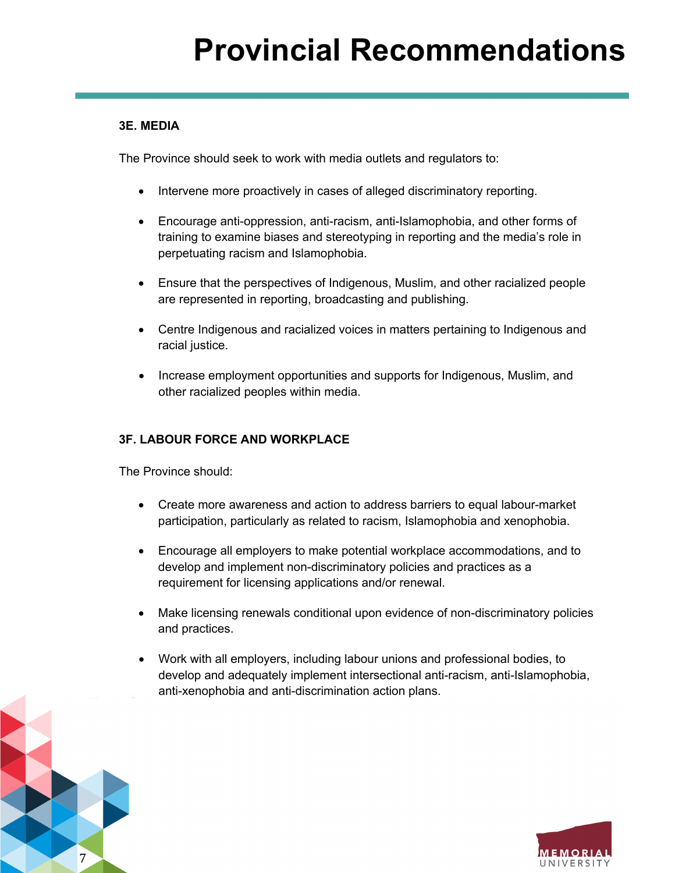### **3E. MEDIA**

The Province should seek to work with media outlets and regulators to:

- Intervene more proactively in cases of alleged discriminatory reporting.
- Encourage anti-oppression, anti-racism, anti-Islamophobia, and other forms of training to examine biases and stereotyping in reporting and the media's role in perpetuating racism and Islamophobia.
- Ensure that the perspectives of Indigenous, Muslim, and other racialized people are represented in reporting, broadcasting and publishing.
- Centre Indigenous and racialized voices in matters pertaining to Indigenous and racial justice.
- Increase employment opportunities and supports for Indigenous, Muslim, and other racialized peoples within media.

### **3F. LABOUR FORCE AND WORKPLACE**

The Province should:

7

- Create more awareness and action to address barriers to equal labour-market participation, particularly as related to racism, Islamophobia and xenophobia.
- Encourage all employers to make potential workplace accommodations, and to develop and implement non-discriminatory policies and practices as a requirement for licensing applications and/or renewal.
- Make licensing renewals conditional upon evidence of non-discriminatory policies and practices.
- Work with all employers, including labour unions and professional bodies, to develop and adequately implement intersectional anti-racism, anti-Islamophobia, anti-xenophobia and anti-discrimination action plans.